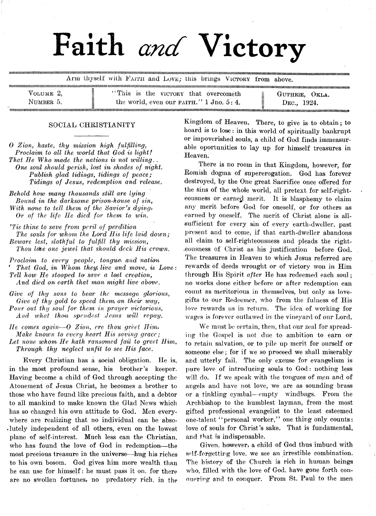# Faith *and* Victory

..................................................... ............................................................... Arm thyself with FAITH and Love; this brings Victory from above.

|           | «жолплениемене»немологияныканыполитингингингинген интентитутынын алатын каналатын каналатын каналатын каналатын каналатын каналатын каналатын каналатын каналатын каналатын каналатын каналатын каналатын каналатын каналатын |                     |
|-----------|-------------------------------------------------------------------------------------------------------------------------------------------------------------------------------------------------------------------------------|---------------------|
| VOLUME 2, | "This is the victory that overcometh"                                                                                                                                                                                         | Ξ<br>GUTHRIE, OKLA. |
| NUMBER 5. | the world, even our $F\text{AITH.}$ " 1 Jno. 5 : 4.                                                                                                                                                                           | DEC., 1924.         |
|           |                                                                                                                                                                                                                               |                     |

#### SOCIAL CHRISTIANITY

*0 Zion, haste, thy mission high fulfilling, Proclaim to all the world that God is light! That He Who made the nations is not willing. . One soul should perish, lost in shades of night. Publish glad tidings, tidings of peace; Tidings of Jesus, redemption and release.*

*Behold how many thousands still are lying Bound in the darksome prison-house of sin, With none to tell them of the Savior's dying*, *Or of the life He died for them to win.*

*'Tis thine to save from peril of perdition The souls for whom the Lord His life laid down; Beware lest, sloth fid to fulfill thy mission*, *Thou lobe one jewel that should deck His crown.*

*Proclaim to every people, tongues and nation That God, in Whom they) live and move, is Love: l 1 ell how He stooped to save a lost creation, And died on earth that man might live above.*

*Give of thy sons to bear the message glorious, Give of thy gold to speed them on their way*, *Pour out thy soul for them in prayer victorious*, *And what thou spendest Jesus will repay.*

*He comes again*—O *Zion, ere thou greet Him. Make known to every heart His saving grace; Let none whom He hath ransomed fail to greet Him*, *Through thy neglect unfit to see His face.*

Every Christian has a social obligation. He is, in the most profound sense, his brother's keeper. Having become a child of God through accepting the Atonement of Jesus Christ, he becomes a brother to those who have found like precious faith, and a debtor to all mankind to make known the Glad News which has so changed his own attitude to God. Men everywhere are realizing that no individual can be abso-Jutely independent of all others, even on the lowest plane of self-interest. Much less can the Christian, who has found the love of God in redemption—-the most precious treasure in the universe—hug his riches to his own bosom. God gives him more wealth than he can use for himself: he must pass it on. for there are no swollen fortunes, no predatory rich, in the

Kingdom of Heaven. There, to give is to obtain; to hoard is to lose: in this world of spiritually bankrupt or impoverished souls, a child of God finds immeasurable oportunities to lay up for himself treasures in Heaven.

There is no room in that Kingdom, however, for Romish dogma of supererogation. God has forever destroyed, by the One great Sacrifice once offered for the sins of the whole world, all pretext for self-righteousness or earned merit. It is blasphemy to claim any merit before God for oneself, or for others as earned by oneself. The merit of Christ alone is allsufficient for every sin of every earth-dweller, past present and to come, if that earth-dweller abandons all claim to self-righteousness and pleads the right- .eousness of Christ as his justification before God. The treasures in Heaven to which Jesus referred are rewards of deeds wrought or of victory won in Him through His Spirit *after* He has redeemed each sou]; no works done either before or after redemption can count as meritorious in themselves, but only as lovegifts to our Redeemer, who from the fulness of His love rewards us in return. The idea of working for wages is forever outlawed in the vineyard of our Lord.

We must be certain, then, that our zeal for spreading the Gospel is not due to ambition to earn or to retain salvation, or to pile up merit for ourself or someone else; for if we so proceed we shall miserably and utterly fail. The only excuse for evangelism is pure love of introducing souls to God: nothing less will do. If we speak with the tongues of men and of angels and have not love, we are as sounding brass or a tinkling cymbal—empty windbags. From the Archbishop to the humblest layman, from- the most gifted professional evangelist to the least esteemed one-talent " personal worker," one thing only counts: love of souls for Christ 's sake. That is fundamental, and that is indispensable.

Given, however, a child of God thus imbued with self-forgetting love, we see an irrestible combination. The history of the Church is rich in human beings who, filled with the love of God. have gone forth conouering and to conquer. From St. Paul to the men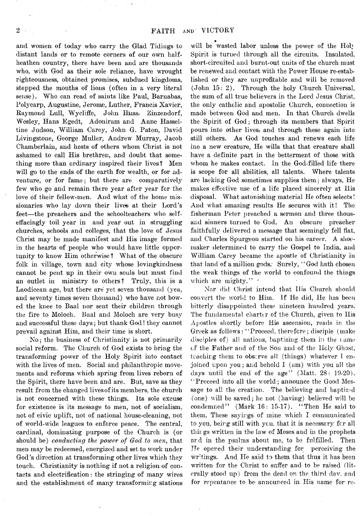and women of today who carry the Glad Tidings to distant lands or to remote corners of our own halfheathen country, there have been and are thousands who, with God as their sole reliance, have wrought righteousness, obtained promises, subdued kingdoms, stopped the mouths of lions (often in a very literal sense). Who can read of saints like Paul, Barnabas, Polycarp, Augustine, Jerome, Luther, Francis Xavier, Raymond Lull, Wycliffe, John Huss, Zinzendorf, Wesley, Hans Egedt, Adoniram and Anne Hasseltine Judson, William Carey, John G. Paton, David Livingstone, George Muller, Andrew Murray, Jacob Chamberlain, and hosts of others whom Christ is not ashamed to call His brethren, and doubt that something more than ordinary inspired their lives? Men will go to the ends of the earth for wealth, or for adventure, or for fame; but there are comparatively few who go and remain there year after year for the love of their fellow-men. And what of the home missionaries who lay down their lives at their Lord's feet— the preachers and the schoolteachers who selfeffacingly toil year in and year out in struggling churches, schools and colleges, that the love of Jesus Christ may be made manifest and His image formed in the hearts of people who would have little opportunity to know Him otherwise? What of the obscure folk in village, town and city whose lovingkindness cannot be pent up in their own souls but must find an outlet in ministry to others? Truly, this is a Laodicean age, but there are yet seven thousand (yea, and seventy times seven thousand) who have not bowed the knee to Baal nor sent their children through the fire to Moloch. Baal and Moloch are very busy and successful these days; but thank God! they cannot prevail against Him, and their time is short.

No; the business of Christianity is not primarily social reform. The Church of God exists to bring the transforming power of the Holy Spirit into contact with the lives of men. Social and philanthropic movements and reforms which spring from lives reborn of the Spirit, there have been and are. But, save as they result from the changed lives of its members, the church is not concerned with these things. Its sole excuse for existence is its message to men, not of socialism, not of civic uplift, not of national house-cleaning, not of world-wide leagues to enforce peace. The central, cardinal, dominating purpose of the Church is (or should be) *conducting the power of God to men*, that men may be redeemed, energized and set to work under God's direction at transforming other lives which they touch. Christianity is nothing if not a religion of contacts and electrification: the stringing of many wires and the establishment of many transforming stations will be wasted labor unless the power of the Holy Spirit is turned through all the circuits. Insulated, short-circuited and burnt-out units of the church must be renewed and contact with the Power House re-established or they are unprofitable and will be removed (John 15: 2). Through the holy Church Universal, the sum of all true believers in the Lord Jesus Christ, the only catholic and apostolic Church, connection is made between God and men. In that Church dwells the Spirit of God; through its members that Spirit pours into other lives, and through these again into still others. As God touches and renews each life ino a new creature, He wills that that creature shall have a definite part in the betterment of those with whom he makes contact. In the God-filled life there is scope for all abilities, all talents. Where talents are lacking God sometimes supplies them; always, He makes effective use of a life placed sincerely at His disposal. What astonishing material He often selects! And what amazing results He secures with it! The fisherman Peter preached a sermon and three thousand sinners turned to God. An obscure preacher faithfully delivered a message that seemingly fell flat, and Charles Spurgeon started on his career. A shoemaker determined to carry the Gospel to India, and William Carey became the apostle of Christianity in that land of a million gods. Surely, " God hath chosen the weak things of the world to confound the things which are mighty."

Nor did Christ intend that Ilis Church should convert the world to Him. If He did, He has been bitterly disappointed these nineteen hundred years. The fundamental charter of the Church, given to His Apostles shortly before His ascension, reads in the Greek as follows: " Proceed, therefore; disciple (make disciples of) all nations, baptizing them in the name of the Father and of the Son and of the Holy Ghost, teaching them to observe ail ('things) whatever I enjoined upon you; and behold I (am) with you all the days until the end of the age" (Matt. 28: 19-20). "Proceed into all the world; announce the Good Message to all the creation. The believing and baptized (one) will be saved; he not (having) believed will be condemned" (Mark 16: 15-17). "Then He said to them, These sayings of mine which I communicated to you, being still with you, that it is necessary for all thir gs written in the law of Moses and in the prophets and in the psalms about me, to be fulfilled. Then He opened their understanding for perceiving the writings. And He said to them that thus it has been written for the Christ to suffer and to be raised (literally stood up) from the dead on the third dav. and for repentance to be announced in His name for re-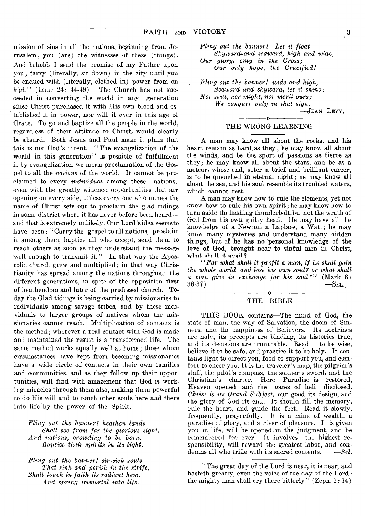mission of sins in all the nations, beginning from Jerusalem; you (are) the witnesses of these (things). And behold, I send the promise of my Father upon you; tarry (literally, sit down) in the city until you be endued with (literally, clothed in) power from on high" (Luke 24: 44-49). The Church has not succeeded in converting the world in any generation since Christ purchased it with His own blood and established it in power, nor will it ever in this age of Grace. To go and baptize all the people in the world, regardless of their attitude to Christ, would clearly be absurd. Both Jesus and Paul make it plain that this is not God's intent. " The evangelization of the world in this generation" is possible of fulfillment if by evangelization we mean proclamation of the Gospel to all the *nations* of the world. It cannot be proclaimed to every *individual* among these nations, even with the greatly widened opportunities that are opening on every side, unless every one who names the name of Christ sets out to proclaim the glad tidings in some district where it has never before been heard—• and that is extremely unlikely. Our Lord'sidea seems to have been: "Carry the gospel to all nations, proclaim it among them, baptize all who accept, send them to reach others as soon as they understand the message well enough to transmit it." In that way the Apostolic church grew and multiplied; in that way Christianity has spread among the nations throughout the different generations, in spite of the opposition first of heathendom and later of the professed church. Today the Glad tidings is being carried by missionaries to individuals among savage tribes, and by these individuals to larger groups of natives whom the missionaries cannot reach. Multiplication of contacts is the method; wherever a real contact with God is made and maintained the result is a transformed life. The same method works equally well at home; those whom cirsumstances have kept from becoming missionaries have a wide circle of contacts in their own families and communities, and as they follow up their opportunities, will find with amazement that God is working miracles through them also, making them powerful to do His will and to touch other souls here and there into life by the power of the Spirit.

*Fling out the banner! heathen lands Shall see from far the glorious sight, And nations, crowding to be born, Baptize their spirits in its light.*

*Fling out the{ banner! sin-sick souls That sink and perish in the strife, Shall touch in faith its radiant hem, And spring immortal into life*.

*Fling out the banner! Let it float Skyward\* and seaward, high and wide, Our glory*, *only in the Cross; Our only hope, the Crucified!*

*Fling out the banner! wide and high, Seaward and skyward, let it shine: Nor snill, nor might, nor merit ours; We conquer only in that sign*.

— Jean Levy. ---------------- o-----------------

#### THE WRONG LEARNING

A man may know all about the rocks, and his heart remain as hard, as they; he may know all about the winds, and be the sport of passions as fierce as they; he may know all about the stars, and be as a meteor, whose end, after a brief and brilliant career, is to be quenched in eternal night; he may know all about the sea, and his soul resemble its troubled waters, which cannot rest.

A man may know how to rule the elements, yet not know how to rule his own, spirit; he may know how to turn aside' the flashing thunderbolt, but not the wrath of God from his own guilty head. He may have all the knowledge of a Newton, a Laplace, a Watt; he may know many mysteries and understand many hidden things, but if he has no (personal knowledge of the love of God, brought near to sinful men in Christ, what shall it avail ?

*" For what shall it profit a man, if he shall gain the whole ivorld, and lose his own soul? or what shall a man give in exchange for his soulf"* (Mark 8:  $36-37$ . —SEL.

#### -----------------o----------------- THE BIBLE

THIS BOOK contains— The mind of God, the state of man, the way of Salvation, the doom of Sinners, and the happiness of Believers. Its doctrines are holy, its precepts are binding, its histories true, and its decisions are immutable. Read it to be wise, believe it to be safe, and practice it to be holy. It contains light to direct you, food to support you, and comfort to cheer you. It is the traveler's map, the pilgrim's staff, the pilot's compass, the soldier's sword, and the Christian's charter. Here Paradise is restored, Heaven opened, and the gates of hell disclosed. *Christ is its Grand Subject,* our good its design, and the glory of God its ena. It should fill the memory, rule the heart, and guide the feet. Read it slowly, frequently, prayerfully. It is a mine of wealth, a paradise of glory, and a river of pleasure. It is given you in life, will be opened (in the judgment, and! be remembered for ever. It involves the highest responsibility, will reward the greatest labor, and condemns all who trifle with its sacred contents. —*SeL*

' ' The great day of the Lord is near, it is near, and hasteth greatly, even the voice of the day of the Lord: the mighty man shall cry there bitterly" (Zeph.  $1:14$ )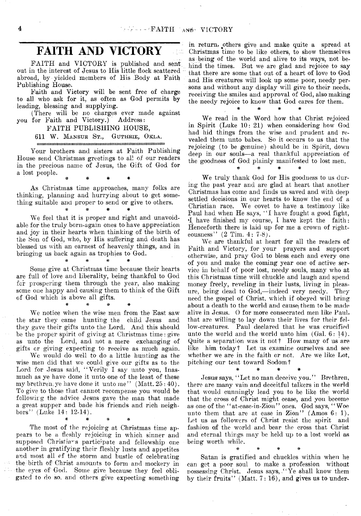## **FAITH AND VICTORY**

FAITH and VICTORY is published and sent out in the interest of Jesus to His little flock scattered abroad, by-yielded members of His Body at Faith Publishing House.

Faith and Victory will be sent free of charge to all who ask for it, as often as God permits by leading, blessing and supplying.

(There will be no charges ever made against you for Faith and Victory.) Address:

FAITH PUBLISHING HOUSE,

imiiiiiiiiiiiiiiiiiiiiiiiiiiiiiiiimiiiiitiiiiiimiiiiiiiiiiiiiimmiiiiiiiiiiiiimiiiimiiiiimiiimiiimiiiimi

611 W. Mansur St., Guthrie, Okla.

Your brothers and sisters at Faith Publishing House send Christmas greetings to all of our readers in the precious name of Jesus, the Gift of God for a lost people. \* \* \* \*

As Christmas time approaches, many folks are thinking, planning and hurrying about to get something suitable and proper to send or give to others.

# # *m* #

We feel that it is proper and right and unavoidable for the truly born-again ones to have appreciation and joy in their hearts when thinking of the birth of the Son of God, who, by His suffering and death has blessed us with an earnest of heavenly things, and in bringing us back again as trophies to God.<br><sup>\*</sup> \* \* \* \*

Some give at Christmas time because their hearts are full of love and liberality, being thankful to God for prospering them through the year, also making some one happy and causing them to think of the Gift of God which is above all gifts.

# # # \*

We notice when the wise men from the East saw the star they came hunting the child Jesus and they gave their gifts unto the Lord. And this should be the proper spirit of giving at Christmas time: give as unto the Lord, and not a mere exchanging of gifts or giving expecting to receive as much again.

We would do well to do a little hunting as the wise men did that we could give our gifts as to the Lord for Jesus said, "Verily I say unto you, Inasmuch as ye have done it unto one of the least of these my brethren, ye have done it unto me''  $(Matt. 25:40)$ . To give to those that cannot recompense you would be followirg the advice Jesus gave the man that made a great supper and bade his friends and rich neighbors'' (Luke  $14: 12-14$ ).

The most of the rejoicing at Christmas time appears to be a fleshly rejoicing in which sinner and supposed Christians participate and fellowship one another in gratifying their fleshly lusts and appetites and most all of the storm and bustle of celebrating the birth of Christ amounts to form and mockery in the eyes of God. Some give because they feel obligated to do so, and others give expecting something

\* *% m* ^

in return, others give and make quite a spread at Christmas time to be like others, to show themselves as being of the world and alive to its ways, not behind the times. But we are glad and rejoice to say that there are some that out of a heart of love to God and His creatures will look up some poor, needy persons and without any display will give to their needs, receiving the smiles and approval of God, also making the needy rejoice to know that God cares for them.

We read in the Word how that Christ rejoiced in Spirit (Luke 10: 21) when considering how God had hid things from the wise and prudent and revealed them unto babes. So it occurs to us that the rejoicing (to be genuine) should be in Spirit, down deep in our souls—a real thankful appreciation of the goodness of God plainly manifested to lost men.

**# # # #**

We truly thank God for His goodness to us during the past year and are glad at heart that another Christmas has come and finds us saved and with deep settled decisions in our hearts to know the end of a Christian race. We covet to have a testimony like Paul had when He says, "I have fought a good fight, •I have finished my course, I have kept the faith: Henceforth there is laid up for me a crown of righteousness" (2 Tim. 4: 7-8).

We are thankful at heart for all the readers of Faith and Victory, for your prayers and support otherwise, and pray God to bless, each and every one of you and make the coming year one of active service in behalf of poor lost, needy souls, many who at this Christmas time will chuckle and laugh and spend money freely, reveling in their lusts, living in pleasure, being dead to God,— indeed very needy. They need the gospel of Christ, which if obeyed will bring about a death to the world and cause them to be made alive in Jesus. O for more consecrated men like Paul, that are willing to lay down their lives for their fellow-creatures. Paul declared that he was crucified unto the world and the world unto him (Gal. 6: 14). Quite a separation was it not? Ilow many of us are like him today? Let us examine ourselves and see whether *we* are in the faith or not. Are we like Lot, pitching our tent toward Sodom?

Jesus says, "Let no man deceive you." Brethren, there are many vain and deceitful talkers in the world that would cunningly lead you to be like the world that the cross of Christ might cease, and you become as one of the "at-ease-in-Zion" ones. God says, "Woe unto them that are at ease in Zion" (Amos  $6: 1$ ). Let us as followers of Christ resist the spirit and fashion of the world and bear the cross that. Christ and eternal things may be held up to a lost world as being worth while.

\* *\** # #

Satan is gratified and chuckles within when he can get a poor soul to make a profession without possessing Christ. Jesus says, "Ye shall know them by their fruits" (Matt. 7: 16), and gives us to under-

\* # \* #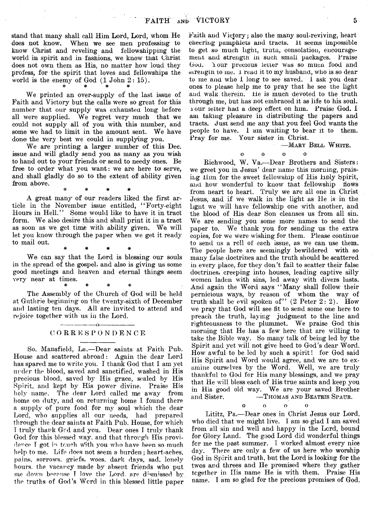stand that many shall call Him Lord, Lord, whom He does not know. When we see men professing to know Christ and reveling and fellowshipping the world in spirit and in fashions, we know that Christ does not own them as His, no matter how loud they profess, for the spirit that loves and fellowships the world is the enemy of God  $(1 \text{ John } 2: 15)$ .

We printed an over-supply of the last issue of Faith and Victory but the calls were so great for this number that our supply was exhausted long before all were supplied. We regret very much that we could not supply all of you with this number, and some we had to limit in the amount sent. We have done the very best we could in supplying you.

We are printing a larger number of this Dec. issue and will gladly send you as many as you wish to hand out to your friends or send to needy ones. Be free to order what you want: we are here to serve, and shall gladly do so to the extent of ability given from above. # # *\** \*

A great many of our readers liked the first article in the November issue entitled, "Forty-eight Hours in Hell." Some would like to have it in tract form. We also desire this and shall print it in a tract as soon as we get time with ability given. We will let you know through the paper when we get it ready to mail out. ^

We can say that the Lord is blessing our souls in the spread of the gospel, and also is giving us some good meetings and heaven and eternal things seem very near at times.

# # \* #

The Assembly of the Church of God will be held at Guthrie beginning on the twenty-sixth of December and lasting ten days. All are invited to attend and rejoice together with us in the Lord.

#### $-\alpha$  -**CORRESPONDENCE**

So. Mansfield, La.— Dear saints at Faith Pub. House and scattered abroad: Again the dear Lord has spared me to write you. I thank God that I am yet under the blood, saved and sanctified, washed in His precious blood, saved by His grace, sealed by His Spirit, and kept by His power divine. Praise His holy name. The dear Lord called me away from home on duty, and on returning home I found there a supply of pure food for my soul which the dear Lord, who supplies all our needs, had prepared through the dear saints at Faith Pub. House, for which T truly thank Gcd and you. Dear ones I truly thank God for this blessed way. and that through His providence T got in touch With you who have been so much help to me. Life does not seem a burden ; heart-aches, pains, sorrows, griefs, woes, dark days, sad, lonely hours, the vacancy made by absent friends who put me down because T love the Lord, are dismissed by the truths of God's Word in this blessed little paper

Faith and Victory; also the many soul-reviving, heart cheering pamphlets and tracts. It seems impossible to get so much light, trutn, consolation, encouragement and strengtn m such small packages. Praise God. Your precious letter was so mucn food and strength to me. 1 read it to my husband, who is so dear to me and who I long to see saved. 1 ask you dear ones to please help me to pray that he see the light and walk therein. He is much devoted to the truth through me, but has not embraced it as life to his soul, i our letter had a deep effect on him. Praise God. I am taking pleasure in distributing the papers and tracts. Just send me any that you feel God wants the people to have. 1 am waiting to bear it to them. Pray for me. Your sister in Christ.

—Mary Bell W hite.

 $\Delta$ 

 $\begin{array}{ccc} 0 & \hspace{1.5mm} & 0 & \hspace{1.5mm} & 0 \end{array}$ 

Rich wood, W. Va.— Dear Brothers and Sisters: we greet you in Jesus' dear name this morning, praising Him for the sweet fellowship of His liply Spirit, and how wonderful to know that fellowship flows from heart to heart. Truly we are all one in Christ Jesus, and if we walk in the light as He is in the light we will have fellowship one with another, and the blood of His dear Son cleanses us from all sin. We are sending you some more names to send the paper to. We thank you for sending us the extra copies, for we were wishing for them. Please continue to send us a roll of each issue, as we can use them. The people here are seemingly bewildered with so many false doctrines and the truth should be scattered in every place, for they don't fail to scatter their false doctrines, creeping into houses, leading captive silly women laden with sins, led away with divers lusts. And again the Word says "Many shall follow their pernicious ways, by reason of whom the way of truth shall be evil spoken of"  $(2$  Peter  $2:2$ ). How we pray that God will see fit to send some one here to preach the truth, laying judgment to the line and righteousness to the plummet. We praise God this morning that He has a few here that are willing to take the Bible way. So many talk of being led by the Spirit and yet will not give heed to God's dear Word. How awful to be led by such a spirit! for God said His Spirit and Word would agree, and we are to examine ourselves by the Word. Well, we are truly thankful to God for His many blessings, and we pray that He will bless each of His true saints and keep you in His good old way. We are your saved Brother -THOMAS AND BEATRIS SPAUR.

 $\begin{array}{ccc} 0 & 0 & 0 \end{array}$ 

Lititz, Pa.— Dear ones in Christ Jesus our Lord, who died that we might live. 1 am so glad I am saved from all sin and well and happy in the Lord, bound for Glory Land. The good Lord did wonderful things for me the past summer. I worked almost every nice day. There are only a few of us here who worship God in Spirit and truth, but the Lord is looking for the twos and threes and He promised where they gather together in. Ilis name He is with them. Praise His name. I am so glad for the precious promises of God.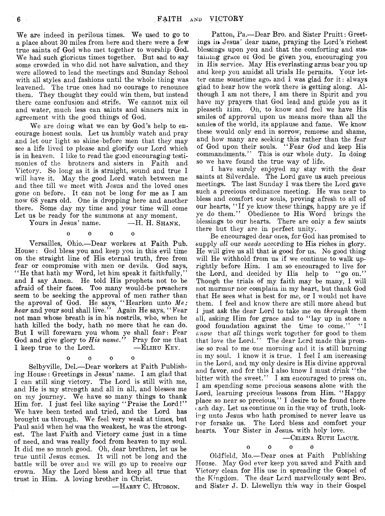We are indeed in perilous times. We used to go to a place about 30 miles from here and there were a few true saints of God who met together to worship God. We had such glorious times together. But sad to say some crowded in who did not have salvation, and they were allowed to lead the meetings and Sunday School with all styles and fashions until the whole thing was leavened. The true ones had no courage to renounce them. They thought they could win them, but instead there came confusion and strife. We cannot mix oil and water, much less can saints and sinners mix in agreement with the good things of God.

We are doing what we can by God's help to encourage honest souls. Let us humbly watch and pray and let our light so shine before men that they may see a life lived to please and glorify our Lord which is in heaven. I like to read the good encouraging testimonies of the brotners and sisters in Faith and Victory. So long as it is straight, sound and true I will have it. May the good Lord watch between me and thee till we meet with Jesus and the loved ones gone on before. It can not be long for me as I am now 68 years old. One is dropping here and another there. Some day my time and your time will come

Let us be ready for the summons at any moment. Yours in Jesus' name.

oooo

Versailles, Ohio.— Dear workers at Faith Pub. House: God bless you and keep you in this evil time on the straight line of His eternal truth, free from fear or compromise with men or devils. God says, "He that hath my Word, let him speak it faithfully," and I say Amen. He told His prophets not to be afraid of their faces. Too many would-be preachers seem to be seeking the approval of men rather than the aproval of God. He says, "Hearken unto Me; *hear* and your soul shall live.'' Again He says, "Fear not man whose breath is in his nostrils, who, when he hath killed the body, hath no more that he can do. But I will forewarn you whom ye shall fear: Fear God and give glory to *His name*." Pray for me that I keep true to the Lord. — ELIHU KEY.

oooo

Selbyville, Del.— Dear workers at Faith Publishing House : Greetings in Jesus' name. I am glad that I can still sing victory. The Lord is still with me, and He is my strength and all in all, and blesses me on my journey. We have so many things to thank Him for. I just feel like saying "Praise the Lord!" We have been tested and tried, and the Lord has brought us through. We feel very weak at times, but Paul said when he/ was the weakest, he was the strongest. The last Faith and Victory came just in a time of need, and was really food from heaven to my soul. It did me so much good. Oh, dear brethren, let us be true until Jesus comes. It will not be long and the battle will be over and we will go up to receive our crown. May the Lord bless and keep all true that trust in Him. A loving brother in Christ.

-HARRY C. HUDSON.

Patton, Pa.— Dear Bro. and Sister Pruitt: Greetings in Jesus' dear name, praying the Lord's richest blessings upon you and that the comforting and sustaining grace of God be given you, encouraging you in His service. May His everlasting arms bear you up and keep you amidst all trials He permits. Your letter came sometime ago, and I was glad for it : always glad to hear how the work there is getting along. Although I am not there, I am there in Spirit and you have my prayers that God lead and guide you as it pleaseth Him. Oh, to know and feel we have His smiles of approval upon us means more than all the smiles of the world, its applause and fame. We know these would only end in sorrow, remorse and shame, and how many are seeking this rather than the fear of God upon their souls. " Fear *God* and keep His commandments." This is our whole duty. In doing so we have found the true way of life.

I have surely enjoyed my stay with the dear saints at Silverdale. The Lord gave us such precious meetings. The last Sunday I was there the Lord gave such a precious ordinance meeting. He was near to bless and comfort our souls, proving afresh to all of our hearts, " If ye know these' things, happy are ye if ye do them." Obedience to His Word brings the blessings to our hearts. There are only a few saints there but they are in perfect unity.

Be encouraged dear ones, for God has promised to supply *all* our *needs* according to His riches in glory. He will give us all that is good for us. No good thing will He withhold from us if we continue to walk uprightly before Him. I am so encouraged to live for the Lord, and decided by His help to "go on." Though the trials of my faith may be many, I will not murmur nor complain in my heart, but thank God that He sees what is best for me, or I would not have them. I feel and know there are still more ahead but I just ask the dear Lord to take me on *through* them all, asking Him for grace and to "lay up in store a good foundation against the time to come." "I *lx now* that *all* things work together for good to them that love the Lord." The dear Lord made this promise so real to me one morning and it is still burning in my soul. I know it is true. I feel I am increasing in the Lord, and my only desire is His divine approval and favor, and for this I also know I must drink " the bitter with the sweet." I am encouraged to press on. I am spending some precious seasons alone with the Lord, learning precious lessons from Him. "Happy place so near so precious," I desire to be found there each day. Let us continue on in the way of truth, looking unto Jesus who hath promised to never leave us nor forsake us. The Lord bless and comfort your hearts. Your Sister in Jesus, with holy love.

— Celena Ruth Lacue.

oooo Oldfield, Mo.—Dear ones at Faith Publishing House. May God ever keep you saved and Faith and Victory clean for His use in spreading the Gospel of

the Kingdom. The dear Lord marvellously sent Bro. and Sister J. D. Llewellyn this way in their Gospel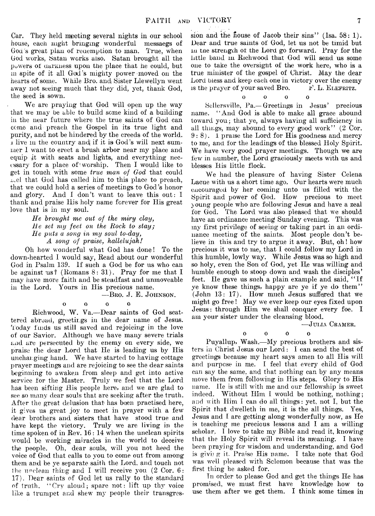Car. They held meeting several nights in our school house, each night bringing wonderful messaegs of God 's great plan of redemption to man. True, when God works, Satan works also. Satan brought all the powers ot darkness upon the place that he could, but m spite of it all Gad's mighty power moved on the hearts of some. While Bro. and Sister Llewellyn went away not seeing much that they did, yet, thank God, the seed is sown.

We are praying that God will open up the way that we may be able to build some kind of a building in the near future where the true saints of God can come and preach the Gospel in its true light and purity, and not be hindered by the creeds of the world. 1 live m the country and) if it is God's will next summer I want to erect a brush arbor near my place and equip it with seats and lights, and everything necessary for a place of worship. Then I would like to get in touch with some *true man of God* that could *±^.e\.* that God has called him to this place to preach, that we could hold a series of meetings to God's honor and glory. And I don't want to leave this out: I thank and praise His holy name forever for His great love that is in my soul.

> *He brought me out of the miry clay, lie set my feet on the Rock to stay; He puts a song in my soul to-day, A song of praise, hallelujah!*

Oh how wonderful what God has done! To the down-hearted I would say, Read about our wonderful God in Psalm 139. If such a God be for us who can be against  $\text{us? (Romans } 8: 31)$ . Pray for me that I may have more faith and be steadfast and unmoveable in the Lord. Yours in His precious name.

— Bro. J. E. Johnson.

 $\begin{array}{ccc} 0 & \hspace{1.5cm} 0 & \hspace{1.5cm} 0 \end{array}$  $\Omega$ 

Rich wood, W. Va.— Dear saints of God scattered abroad, greetings in the dear name of Jesus. Today finds us still saved and rejoicing in the love of our Savior. Although we have many severe trials and are persecuted by the enemy on every side, we praise the dear Lord that He is leading us by His unchanging hand. We have started to having cottage prayer meetings and are rejoicing to see the dear saints beginning to awaken from sleep and get into active service for the Master. Truly we feel that the Lord has been sifting His people here, and we are glad to see so many dear souls that are seeking after the truth. After the great delusion that has boen practised here, it gives us great joy to meet in prayer with a few dear brothers and sisters that have stood true and have kept the victory. Truly we are living in the time spoken of in Rev. 16 : 14 when the unclean spirits would be working miracles in the world to deceive the people. Oh, dear souls, will you not heed the voice of God that calls to you to come out from among them and be ye separate saith the Lord, and touch not the unclean thing and I will receive you (2 Cor. 6: 17). Dear saints of God let us rally to the standard of truth. " Cry aloud; spare not: lift up thy voice like a trumpet and shew my people their transgres-

sion and the house of Jacob their sins" (Isa. 58: 1). Dear and true saints of God, let us not be timid but in tne strength ot the Lord, go forward. Pray for the little band in Richwood that God will send us some one to take the oversight of the work here, who is a true minister of the gospel of Christ. May the dear Lord bless and keep each one in victory over the enemy is the prayer of your saved Bro.  $F. L.$  ELEFRITZ.

oooo

Sellersville, Pa.— Greetings in Jesus' precious name. " And God is able to make all grace abound toward you; that ye, always having all sufficiency in all things, may abound to every good work" (2 Cor.  $9:8$ . 1 praise the Lord for His goodness and mercy to me, and for the leadings of the blessed Holy Spirit. We have very good prayer meetings. Though we are few in number, the Lord graciously meets with us and blesses His little flock.

 $\Omega$ 

We had the pleasure of having Sister Celena Lacue with us a short time ago. Our hearts were much encouraged by her coming unto us filled with the Spirit and power of God. How precious to meet young people who are following Jesus and have a zeal for God. The Lord was also pleased that we should have an ordinance meeting Sunday evening. This was my first privilege of seeing or taking part in an ordinance meeting of the saints. Most people don't believe in this and try to argue it away. But, oh ! how precious it was to me, that I could follow my Lord in this humble, lowly way. While Jesus was so high and so holy, even the Son of God, yet He was willing and humble enough to stoop down and wash the disciples' feet. He gave us such a plain example and said, " If ye know these things, happy are ye if ye do them" (John 13: 17). How much Jesus suffered that we might go free! May we ever keep our eyes fixed upon Jesus: through Him we shall conquer every foe. I am your sister under the cleansing blood.

— Julia Cramer.

 $\Omega$ 

**oooo** Puyallup, Wash.— My precious brothers and sisters in Christ Jesus our Lord: I can send the best of greetings because my heart says amen to all His will and purpose in me. I feel that every child of God can say the same, and that nothing can by any means move them from following in His steps. Glory to His name. He is still with me and our fellowship is sweet indeed. Without  $\text{Him I}$  would be nothing, nothing; and with Him I can do all things: yet, not I, but the Spirit that dwelleth in me, it is the all things. Yes, Jesus and I are getting along wonderfully now, as He is teaching me precious lessons and I am a willing scholar. I love to take my Bible and read it, knowing that the Holy Spirit will reveal its meaning. I have been praying for wisdom and understanding, and God is giving it. Praise His name. I take note that God was well pleased with Solomon because that was the first thing he asked for.

In order to please God and get the things He has promised, we must first have knowledge how to use them after we get them. I think some times in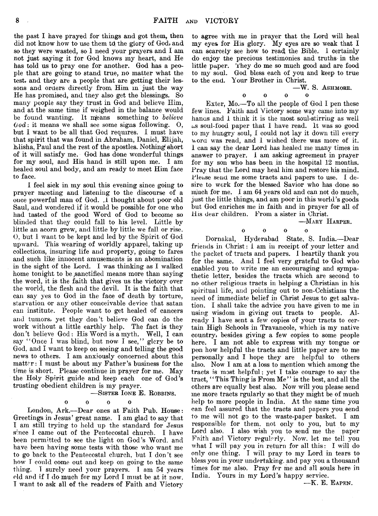the past I have prayed for things and got them, then did not know how to use them td the glory of God, and so they were wasted, so 1 need your prayers and I am not just saying it for God knows my heart, and He has told us to pray one for another. God has a people that are going to stand true, no matter what the test, and they are a people that are getting their lessons and orders directly from Him in just the way He has promised, and they also get the blessings. So many people say they trust in God and believe Him, and at the same time if weighed in the balance would be found wanting. It means something to *believe God:* it means we shall see some signs following. 0, but I want to be all that God requires. I must have that spirit that was found in Abraham, Daniel, Elijah, Elisha, Paul and the rest of the apostles. Nothing^ short of it will satisfy me. God has done wonderful things for my soul, and His hand is still upon me. I am healed soul and body, and am ready to meet Him face to face.

I feel sick in my soul this evening since going to prayer meeting and listening to the discourse of a once powerful man of God. .1 thought about poor old Saul, and wondered if it would be possible for one who had tasted of the good Word of God to become so blinded that they could fall to his level. Little by little an acorn grew, and little by little we fall or rise. 0, but 1 want to be kept and led by the Spirit of God upward. This wearing of worldly apparel, taking up collections, insuring life and property, going to fares and such like innocent amusements is an abomination in the sight of the Lord. I was thinking as I walked home tonight to be sanctified means more than saying the word, it is the faith that gives us the victory over the world, the flesh and the devil. It is the faith that can say yes to God in the face of death by torture, starvation or any other conceivable device that satan can institute. People want to get healed of cancers and tumors, yet they don't believe God can do the work without a little earthly help. The fact is they don't believe God: His Word is a myth. Well, I can say " Once I was blind, but now I see," glery be to God, and I want to keep on seeing and telling the good news to others. I am anxiously concerned about this  $m$ att $\mathbf{r}$ : I must be about my Father's business for the time is short. Please continue in prayer for me. May the Holy Spirit guide and keep each one of God's trusting obedient children is my prayer.

#### — Sister Ione E. Robbins.  $\Omega$

 $\begin{array}{ccc} 0 & 0 & 0 \end{array}$ 

London, Ark.— Dear ones at Faith Pub. House: Greetings in Jesus' great name. I am glad to say that I am still trying to hold up the standard for Jesus since I came out of the Pentecostal church. I have been permitted to see the light on God's Word, and have been having some tests with those who want me to go back to the Pentecostal church, but I don't see how T could come out and keep on going to the same thing. 1 surely need your prayers. I am 54 years old and if I do much for my Lord I must be at it now. I want to ask all of the readers of Faith and Victory

to agree with me in prayer that the Lord will heal my eyes for His glory. My eyes are so weak that I can scarcely see how to read| the Bible. 1 certainly do enjoy the precious testimonies and truths in the little paper. They do me so much good and are food to my soul. God bless each of you and keep to true to the end. Your Brother in Christ.

 $-W. S.$  Ashmore.

oooo Exter, Mo.— To all the people of God I pen these few lines. Faith and Victory some way came into my hand and 1 think it is the most soul-stirring as well as soul-food paper that I have read. It was so good to my hungry soul, I could not lay it down till every word, was read, and I wished there was more of it. I can say the dear Lord has healed me many times in answer to prayer. I am asking agreement in prayer for my son who has been in the hospital 12 months. Pray that the Lord may heal him and restore his mind. Please send me some tracts and papers to use. I desire to work for the blessed Savior who has done so much for me. I am 64 years old and can not do much, just the little things, and am poor in this world's goods but God enriches me in faith and in prayer for all of His dear children. From a sister in Christ.

—Mary Harper.

 $\Omega$ 

oooo

Dornakal, Hyderabad State, S. India.—Dear friends in Christ: I am in receipt of your letter and the packet of tracts and papers. I heartily thank you for the same. And I feel very grateful to God who enabled you to write me an encouraging and sympathetic letter, besides the tracts which are second to no other religious tracts in helping a Christian in his spiritual life, and pointing out to non-Cchistians the need of immediate belief in Christ Jesus to get salvation. I shall take the advice you have given to me in using wisdom in giving out tracts to people. Already I have sent a few copies of your tracts to certain High Schools in Travancole, which is my native country, besides giving a few copies to some people here. I am not able to express with my tongue or pan how helpful the tracts and little paper are to me personally and I hope they are helpful to others also. Now I am at a loss to mention which among the tracts is most helpful; yet I take courage to say the tract, " This Thing is From Me" is the best, and all the others are equally best also. Now will you please send me more tracts rgularly so that they might be of much help to more people in India. At the same time you can feel assured that the tracts and papers you send to me will not go to the waste-paper basket. I am responsible for them, not only to you, but to my Lord also. I also wish you to send me the paper Faith and Victory regularly. Now, let me tell you what I will pay you in return for all this: I will do only one thing. I will pray to my Lord in tears to bless you in your undertaking, and pay you a thousand times for me also. Pray for me and all souls here in India. Yours in my Lord's happy service.

— K. E. Eapen.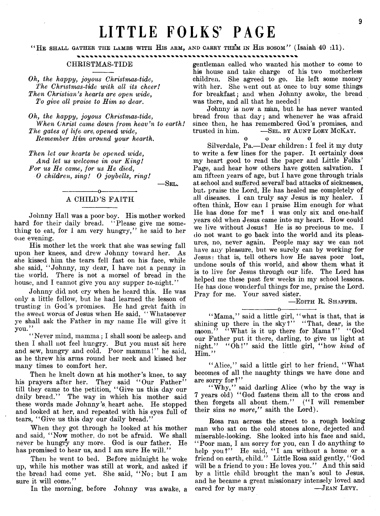# LITTLE FOLKS' PAGE

" He shall gather the lambs with His arm, and carry them in His bosom" (Isaiah 40 :11).

#### CHRISTMAS-TIDE

*Oh, the happy, joyous Christmas-tide, The Christmas-tide with all its cheer! Then Christian's hearts are open wide*, *To give all praise to Him so dear*.

*Oh, the happy, joyous Christmas-tide, When Christ came down from heav'n to earth! The gates of life are{ opened wide, Remember Him ardund your hearth*.

*Then let our hearts be opened wide, And let us welcome in our King! For us He came, for us He died, 0 children, sing! 0 joybells, ring!*

 $-$ Sel.

#### ---------------- O-----------------. A CHILD'S FAITH

Johnny Hall was a poor boy. His mother worked hard for their daily bread. "Please give me something to eat, for I am very hungry," he said to her one evening.

His mother let the work that she was sewing fall upon her knees, and drew Johnny toward her. As she kissed him the tears fell fast on his face, while she said, " Johnny, my dear, I have not a penny in the world. There is not a morsel of bread in the house, and I cannot give you any supper to-night."

Johnny did not cry when he heard this. He was only a little fellow, but he had learned the lesson of trusting in God's promises. He had great faith in the sweet words of Jesus when He said, "Whatsoever ye shall ask the Father in my name He will give it you."

"Never mind, mamma; I shall soon' be asleep, and then I shall not feel hungry. But you must sit here and sew, hungry and cold. Poor mamma!" he said, as he threw his arms round her neck and kissed her many times to comfort her.

Then he knelt down at his mother's knee, to say his prayers after her. They said "Our Father" till they came to the petition, " Give us this day our daily bread." The way in which his mother said these words made Johnny's heart ache. He stopped and looked at her, and repeated with his eyes full of tears, "Give us this day our daily bread."

When they got through he looked at his mother and said, " Now mother, do not be afraid. We shall never be hungry any more. God is our father. He has promised to hear us, and I am sure He will."

Then he went to bed. Before midnight he woke up, while his mother was still at work, and asked if the bread had come yet. She said, " No; but I am sure it will come."

In the morning, before Johnny was awake, a

gentleman called who wanted his mother to come to his house and take charge of his two motherless children. She agreed to go. He left some money with her. She went out at once to buy some things for breakfast; and when Johnny awoke, the bread was there, and all that he needed!

Johnny is now a man, but he has never wanted bread from that day; and whenever he was afraid since then, he has remembered God's promises, and trusted in him. - SEL. BY AUNT LOEY MCKAY.

O 0 o o

Silverdale, Pa.— Dear children: I feel it my duty to write a few lines for the paper. It certainly does my heart good to read the paper and Little Folks' Page, and hear how others have gotten salvation. I am fifteen years of age, but I have gone through trials at school and suffered several bad attacks of sicknesses, but, praise the Lord, He has healed me completely of all diseases. I can truly say Jesus is my healer. I often think, How can I praise Him enough for what He has done for me? I was only six and one-half years old when Jesus came into my heart. How could we live without Jesus? He is so precious to me. I do not want to go back into the world and its pleasures, no, never again. People may say we can not have any pleasure, but we surely can by working for Jesus: that is, tell others how He saves poor lost, undone souls of this world, and show them what it is to live for Jesus through our life. The Lord has helped me these past few weeks in my school lessons. He has done wonderful things for me, praise the Lord. Pray for me. Your saved sister.

#### — Edith R. Shaffer.

---------------- o----------------- " Mama," said a little girl, " what is that, that is shining up there in the sky?" "That, dear, is the moon." "What is it up there for Mama?" "God our Father put it there, darling, to give us light at night." "Oh!" said the little girl, "how kind of Him."

"Alice," said a little girl to her friend, "What becomes of all the naughty things we have done and are sorry for?"

"Why," said darling Alice (who by the way is 7 years old) " God fastens them all to the cross and then forgets all about them." ("I will remember their sins *no more,"* saith the Lord).

Rosa ran across the street to a rough looking man who sat on the cold stones alone, dejected and miserable-looking. She looked into his face and said, *1 '* Poor man, I am sorry for you, can I do anything to help you?" He said, "I am without a home or a friend on earth, child." Little Rosa said gently, " God will be a friend to you : He loves you." And this said by a little child brought the man's soul to Jesus, and he became a great missionary intensely loved and eared for by many — JEAN LEVY.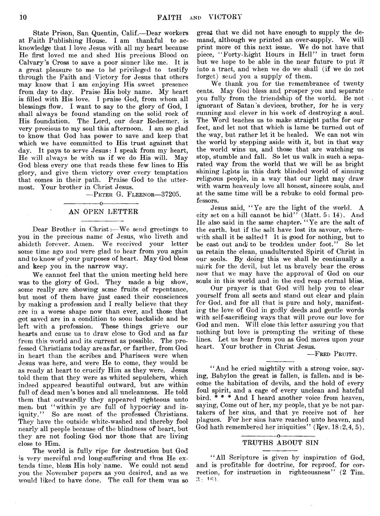State Prison, San Quentin, Calif.— Dear workers at Faith Publishing House. I am thankful to acknowledge that I love Jesus with all my heart because He first loved me and shed His precious Blood on Calvary's Cross to save a poor sinner like me. It is a great pleasure to me to *b&* privileged to testify through the Faith and Victory for Jesus that others may know that I am enjoying His sweet presence from day to day. Praise His holy name. My heart is filled with His love. I praise God, from whom all blessings flow. I want to say to the glory of God, I shall always be found standing on the solid rock of His foundation. The Lord, our dear Redeemer, is very precious to my soul this afternoon. I am so glad to know that God has power to save and keep that which we have committed to His trust against that day. It pays to serve Jesus: I speak from my heart, He will always be with us if we do His will. May God bless every one that reads these few lines to His glory, and give them victory over every temptation that comes in their path. Praise God to the uttermost. Your brother in Christ Jesus.

— Peter G. Fleenor— 37205.

#### $-0$ AN OPEN LETTER

Dear Brother in Christ :— We send greetings to you in the precious name of Jesus, who liveth and abideth forever. Amen. We received your letter some time ago and were glad to hear from you again and to know of your purposes of heart. May God bless and keep you in, the narrow way.

We cannot feel that the union meeting held here was to the glory of God. They made a big show, some really are showing some fruits of repentance, but most of them have just eased their consciences by making a profession and I really believe that they are in a worse shape now than ever, and those that -got saved are in a condition to soon backslide and be left with a profession. These things grieve our hearts and cause us to draw close to God and as far from this world and its current as possible. The professed Christians today are as far, or farther, from God in heart than the scribes and Pharisees were when Jesus was here, and were He to come, they would be as ready at heart to crucify Him as they were. Jesus told them that they were as whited sepulchers, which indeed appeared beautiful outward, but are within full of dead men's bones and all uncleanness. He told them that outwardly they appeared righteous unto men, but "within ye are full of hypocrisy and iniquity." So are most of the professed Christians. They have the outside white-washed and thereby fool nearly all people because of the blindness of heart, but they are not fooling God nor those that are living close to Him.

The world is fully ripe for destruction but God is very merciful and long-suffering and thus He extends time, bless His holy name. We could not send you the November papers as you desired, and as we would liked to have done. The call for them was so great that we did not have enough to supply the demand, although we printed an over-supply. We will print more of this next issue. We do not have that piece, " Forty-Eight Hours in Hell" in tract form but we hope to be able in the near future to put it into a tract, and when we do we shall (if we do not forget) send you a supply of them.

We.thank you for the remembrance of twenty cents. May God bless and prosper you and separate you fully from the friendship of the world. Be not ignorant of Satan's devices, brother, for he is very cunning and clever in his work of destroying a soul. The Word teaches us to make straight paths for our feet, and let not that which is lame be turned out of the way, but rather let it be healed. We can not win the world by stepping aside with it, but in that way the world wins us, and those that are watching us stop, stumble and fall. So let us walk in such a separated way from the world that we will be as bright shining lights in this dark blinded world of sinning religious people, in a *way* that our light may draw with warm heavenly love all honest, sincere souls, and at the same time will be a rebuke to cold formal professors.

Jesus said, " Ye are the light of the world. A city set on a hill cannot be hid" (Matt. 5: 14). And He also said in the same chapter, " Ye are the salt of the earth, but if the salt have lost its savour, wherewith shall it be salted? It is good for nothing, but to be cast out andj to be trodden under foot." So let us retain the clean, unadulterated Spirit of Christ in our souls. By doing this we shall be continually a murk for the devil, but let us bravely bear the cross now that we may have the approval of God on our souls in this world and in the end reap eternal bliss.

Our prayer is that God will help you to clear yourself from all sects and stand out clear and plain for God, and for all that is pure and holy, manifesting the love of God in godly deeds and gentle words with self-sacrificing ways that will prove our love for God and men. Will close this letter assuring you that nothing but love is prompting the writing of these lines. Let us hear from you as God moves upon your heart. Your brother in Christ Jesus.

— Fred Pruitt.

" And he cried mightily with a strong voice, saying, Babylon the great is fallen, is fallen, and is become the habitation of devils, and the hold of every foul spirit, and a cage of every unclean and hateful bird.  $* * * And I$  heard another voice from heaven, saying, Come out of her, my people, that ye be not partakers of her sins, and that ye receive not of her plagues. For her sins have reached unto heaven, and God hath remembered her iniquities"  $($ Rev. 18:2,4,5 $).$ 

#### -----------------o---------------- TRUTHS ABOUT SIN

" All Scripture is given by inspiration of God, and is profitable for doctrine, for reproof, for correction, for instruction in righteousness" (2 Tim.  $3:16$ .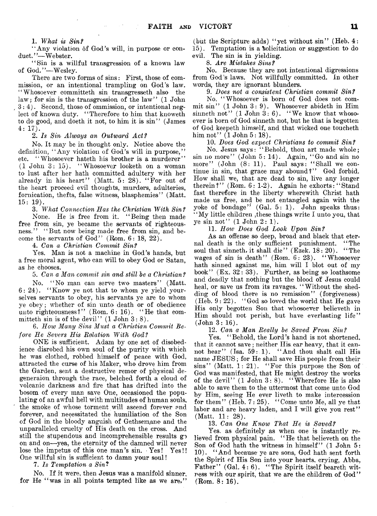1. *What is Sin f*

" Any violation of God's will, in purpose or conduct."— Webster.

 $\mu_{\rm{max}} = 10^{10}$ 

" Sin is a willful transgression of a known law of God."-Wesley.

There are two forms of sins: First, those of commission, or an intentional trampling on God's law. "Whosoever committeth sin transgresseth also the law; for sin is the transgression of the law"  $(1$  John 3 :4 ). Second, those of ommission, or intentional neglect of known duty. " Therefore to him that knoweth to do good, and doeth it not, to him it is sin" (James 4: 17).

2. Is Sin Always an Outward Act?

No. It may be in thought only. Notice above the definition, "Any violation of God's will in purpose," etc. "Whosoever hateth his brother is a murderer" (1 John 3: 15). " Whosoever looketh on a woman to lust after her hath committed adultery with her already in his heart" (Matt. 5: 28). " For out of the heart proceed evil thoughts, murders, adulteries, fornication, thefts, false witness, blasphemies" (Matt.  $15: 19$ .

3. *What Connection Has the Christian With Sinf* None. He is free from it. " Being then made free from sin, ye became the servants of righteousness." "But now being made free from sin, and become the servants of  $God''$  (Rom.  $6: 18, 22$ ).

4. *Can a Christian Commit Sinf*

Yes. Man is not a machine in God's hands, but a free moral agent, who can will to obey God or Satan, as he chooses.

5. *Can a Man commit sin and still be a Christian f*

No. " No man can serve two masters" (Matt. 6: 24). " Know ye not that to whom ye yield yourselves servants to obey, his servants ye are to whom ye obey ; whether of sin unto death or of obedience unto righteousness?" (Rom. 6: 16). "He that eommitteth sin is of the devil"  $(1$  John  $3:8)$ .

6. *How Many Sins Must a Christian. Commit Before He Severs His Relation With God f*

ONE is sufficient. Adam by one act of disobedience disrobed his own soul of the purity with which he was clothed, robbed himself of peace with God, attracted the curse of his Maker, who drove him from the Garden, sent a destructive remor of physical degeneraion through the race, belched forth a cloud of volcanic darkness and fire that has drifted into the bosom of every man save One, occasioned the populating of an awful hell with multitudes of human souls, the smoke of whose torment will ascend forever and forever, and necessitated the humiliation of the Son of God in the bloody anguish of Gethsemane and the unparalleled cruelty of His death on the cross. And still the stupendous and incomprehensible results go on and on—yea, the eternity of the damned will never lose the impetus of this one man's sin. Yes! Yes!! One willful sin is sufficient to damn your soul!

7. *Is Temptation a Sin*?

No. If it were, then Jesus was a manifold sinner, for He "was in all points tempted like as we are,"

(but the Scripture adds) " yet without sin" (Heb. 4: 15). Temptation is a Solicitation or suggestion to do evil. The sin is in yielding.

8. *Are Mistakes Sins f*

No. Because they are not intentional digressions from God's laws. Not willfully committed. In other words, they are ignorant blunders.

9. *Does not a consistent Christian commit Sinf*

No. " Whosoever is born of God does not commit sin" (1 John 3: 9). Whosoever abideth in Him sinneth not"  $(1$  John  $\acute{3}$ : 6). "We know that whosoever is born of God sinneth not, but he that is begotten of God keepeth himself, and that wicked one toucheth him not" (1 John 5: 18).

10. *Does God expect Christians to commit Sinf*

No. Jesus says: "Behold, thou art made whole; sin no more" (John 5: 14). Again, " Go and sin no m ore" (John (8: 11). Paul says: " Shall we continue in sin, that grace may abound?" God forbid. How shall we, that are dead to sin, live any longer therein ?"  $(Rom. 6: 1-2)$ . Again he exhorts: "Stand fast therefore in the liberty wherewith Christ hath made us free, and be not entangled again with the yoke of bondage" (Gal. 5: 1). John speaks thus: 'My little children , these things write I unto you, that ye sin not"  $(1$  John  $2:1$ ).

11. *How Does God Look Upon Sinf*

As an offense so deep, broad and black that eternal death is the only sufficient punishment. " The soul that sinneth, it shall die" (Ezek. 18: 20). "The wages of sin is death" (Rom. 6: 23). "Whosoever hath sinned against me, him will I blot out of my book" (Ex. 32: 33). Further, as being so loathsome and deadly that nothing but the blood o'f Jesus could heal, or save us from its ravages. " Without the shedding of blood there is no remission" (forgiveness) (Heb.  $9: 22$ ). "God so loved the world that He gave His only begotten Son that whosoever believeth in Him should not perish, but have everlasting life" (John 3: 16).

12. *Can a Man Really be Saved From Sinf*

Yes. "Behold, the Lord's hand is not shortened, that it cannot save; neither Ilis ear heavy, that it cannot hear" (Isa. 59: 1). "And thou shalt call His name JESUS; for He shall save His people from their  $sins"$  (Matt. 1: 21). "For this purpose the Son of God was manifested, that He might destroy the works of the devil"  $(1$  John  $3:8$ . "Wherefore He is also able to save them to the uttermost that come unto God by Him, seeing He ever liveth to make intercession for them" (Heb.  $7:25$ ). "Come unto Me, all ye that labor and are heavy laden, and I will give you rest" (Matt. 11: 28).

13. *Can One Know That He is Savedf*

Yes, as definitely as when one is instantly relieved from physical pain. "He that believeth on the Son of God hath the witness in himself" (1 John 5: 10). " And because ye are sons, God hath sent forth the Spirit of His Son into your hearts, crying, Abba, Father" (Gal. 4: 6). "The Spirit itself beareth witness with our spirit, that we are the children of God" (Rom. 8: 16).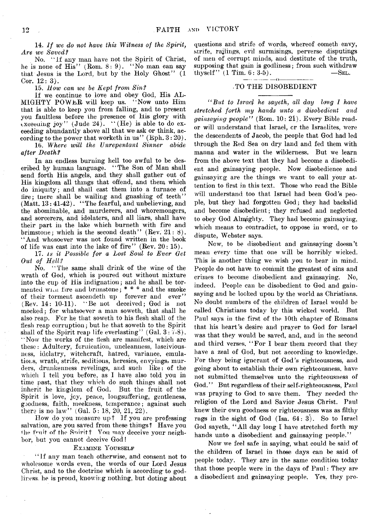14. If we do not have this Witness of the Spirit, *Are we Savedt*

No. "If any man have not the Spirit of Christ, he is none of His" (Rom.  $8:9$ ). "No man can say that Jesus is the Lord, but by the Holy Ghost" (1 Cor.  $12: 3$ .

15. *How can we be Kept from Sin?* 

If we continue to love and obey God, His AL-MIGHTY POWER will keep us. "Now unto Him that is able to keep you from falling, and to present you faultless before the presence of His glory with exceeding joy" (Jude 24). "(He) is able to do exceeding abundantly above all that *we* ask or think, according to the power that worketh in us" (Eph.  $3:20$ ).

16. *Where will the Unrepentant Sinner abide after Death?* 

In an endless burning hell too awful to be described by human language. " The Son of Man shall send forth His angels, and they shall gather out of His kingdom all things that offend, and them which do iniquity; and shall cast them into a furnace of fire; tnere shall be wailing and gnashing of teeth" (Matt. 13: 41-42). "The fearful, and unbelieving, and the abominable, and murderers, and whoremongers, and sorcerers, and idolaters, and all liars, shall have their part in the lake which burneth with fire and brimstone; which is the second death'' (Rev.  $21: 8$ ). "And whosoever was not found written in the book of life was cast into the lake of fire"  $(Rev. 20: 15)$ .

17. *is it Possible for a Lost Soul to Ever Get* Out of Hell?

No. " The same shall drink of the wine of the wrath of God, which is poured out without mixture into the cup of His indignation; and he shall be tormented wiai lire and brimstone; \* \* \* and the smoke of their torment ascendeth up forever and ever" (Rev. 14: 10-11). " Be not deceived; God is not mocked; for whatsoever a man soweth, that shall he also reap. For he that soweth to his flesh shall of the flesh reap corruption; but he that soweth to the Spirit shall of the Spirit reap life everlasting"  $(Gal. 3: 7-8)$ . "Now the works of the flesh are manifest, which are these: Adultery, fornication, uncleanness, lasciviousness, idolatry, witchcraft, hatred, variance, emulations, WTatli, strife, seditions, heresies, envyings, murders, drunkenness revelings, and such like: of the which I tell you before, as I have also told you in time past, that they which do such things shall not inherit he kingdom of God. But the fruit of the Spirit is love, joy, peace, longsuffering, gentleness, goodness, faith, meekness, temperance; against such there is no law" (Gal.  $5: 18, 20, 21, 22$ ).

How do you measure up ? If you are professing salvation, are you saved from these things ? Have you the fruit of the Snirit? You may deceive your neighbor, but you cannot deceive God!

#### EXAMINE YOURSELF

" If any man teach otherwise, and consent not to wholesome words even, the words of our Lord Jesus Christ, and to the doctrine which is according to godliness. he is proud, knowing nothing, but doting about

questions and strife of words, whereof cometh envy, strife, railings, evil surmisings, perverse disputings of men of corrupt minds, and destitute of the truth, supposing that gain is godliness; from such withdraw<br>thyself''  $(1 \text{ Tim. } 6: 3.5)$ .  $\text{SEL.}$ thyself"  $(1 \text{ Tim. } 6: 3.5)$ .

#### .TO THE DISOBEDIENT

*i*But to Israel he sayeth, all day long I have *stretched forth my hands unto a disobedient and gainsaying people"* (Rom. 10: 21). Every Bible reador will understand that Israel, or the Israelites, were the descendents of Jacob, the people that God had led through the Red Sea on dry land and fed them with manna and water in the wilderness. But *we* learn from the above text that they had become a disobedient and gainsaying people. Now disobedience and gainsaying are the things we v^ant to call your attention to first in this text. Those who read the Bible will understand too that Israel had been God's people, but they had forgotten God; they had backslid and become disobedient; they refused and neglected to obey God Almighty. They had become gainsaying, which means to contradict, to oppose in word, or to dispute, Webster says.

Now, to be disobedient and gainsaying doesn't mean every time that one will be horribly wicked. This is another thing we wish you to bear in mind. People do not have to commit the greatest of sins and crimes to become disobedient and gainsaying. No, indeed. People can be disobedient to God and gainsaying and be locked upon by the world as Christians. No doubt numbers of the children of Israel would be called Christians today by this wicked world. But Paul says in the first of the 10th chapter of Romans that his heart's desire and prayer to God for Israel was that they would be saved, and, and in the second and third verses, "For I bear them record that they have a zeal of God, but not according to knowledge. For they being ignorant of God's righteousness, and going about to establish their own righteousness, have not submitted themselves unto the righteousness of God." But regardless of their self-righteousness, Paul was praying to God to save them. They needed the religion of the Lord and Savior Jesus Christ. Paul knew their own goodness or righteousness was as filthy rags in the sight of God (Isa. 64: 3). So to Israel God sayeth, " All day long I have stretched forth my hands unto a disobedient and gainsaying people."

Now we feel safe in saying, what could be said of the children of Israel in those days can be said of people today. They are in the same condition today that those people were in the days of Paul: They are a disobedient and gainsaying people. Yes. they pro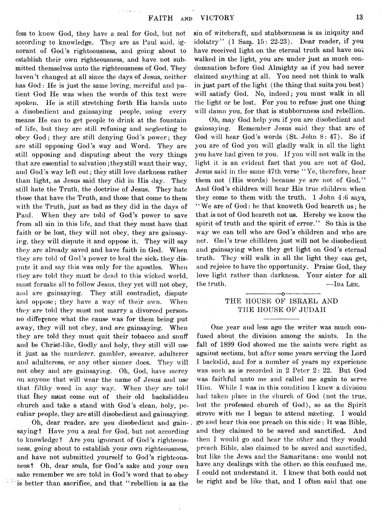fess to know God, they have a zeal for God, but not according to knowledge. They are as Paul said, ignorant of God's righteousness, and going about to establish their own righteousness, and have not submitted themselves unto the righteousness of God. They haven't changed at all since the days of Jesus, neither has God: He is just the same loving, merciful and patient God He was when the words of this text were spoken. He is still stretching forth His hands unto a disobedient and gainsaying people, using every means He can to get people to drink at the fountain of life, but they are still refusing and neglecting to obey God; they are still denying God's power; they are still opposing God's way and Word. They are still opposing and disputing about the very things that are essential to salvation; they still want their way, and God's way left out; they still love darkness rather than light, as Jesus said they did in His day. They still hate the Truth, the doctrine of Jesus. They hate those that have the Truth, and those that come to them with the Truth, just as bad as they did in the days of Paul. When they are told of God's power to save from all sin in this life, and that they must have that faith or be lost, they will not obey, they are gainsaying, they will dispute it and oppose it. They will say they are already saved and have faith in God. When they are told of God's power to heal the sick, they dispute it and say this was only for the apostles. When they are told they must be dead to this wicked world, must forsake all to follow Jesus, they yet will not obey, and are gainsaying. They still contradict, dispute and oppose; they have a way of their own. When they are told they must not marry a divorced person, no difference what the cause was for them being put away, they will not obey, and are gainsaying. When they are told they must quit their tobacco and snuff and be Christ-like, Godly and holy, they still will use it just as the murderer, gambler, swearer, adulterer and adulteress, or any other sinner does. They will not obey and are gainsaying. Oh, God, have mercy on anyone that will wear the name of Jesus and use that filthy weed in any way. When they are told that they must- come out of their old backslidden church and take a stand with God's clean, holy, peculiar people, they are still disobedient and gainsaying.

Oh, dear reader, are *you* disobedient and gainsaying? Have you a zeal for God, but not according to knowledge? Are you ignorant of God's righteousness, going about to establish your own righteousness, and have not submitted yourself to God's righteousness? Oh, dear souls, for God's sake and your own sake remember we are told in God's word that to obey is better than sacrifice, and that " rebellion is as the

sin of witchcraft, and stubbornness is as iniquity and idolatry" (1 Sam. 15: 22-23). Dear reader, if you have received light on the eternal truth and have not walked in the light, you are under just as much condemnation before God Almighty as if you had never claimed anything at all. You need not think to walk in just part of the light (the thing that suits you best) will satisfy God. No, indeed; you must walk in all the light or be lost. For you to refuse just one thing will damn you, for that is stubbornness and rebellion.

Oh, may God help you if you are disobedient and gainsaying. Remember Jesus said they that are of . God will hear God's words (St. John 8: 47). So if you are of God you will gladly walk in all the light you have had given toi you. If you will not walk in the light it is an evident fact that you are not of God. Jesus said in the same 47th verse " Ye, therefore, hear them not (His words) because ye are not of God." And God's children will hear His true children when they come to them with the truth. 1 John 4:6 says, "We are of God: he that knoweth God heareth us; he that is not of God heareth not us. Hereby we know the spirit of truth and the spirit of error." So this is the way we can tell who are God's children and who are not. God's true chilldren just will not be disobedient and gainsaying when they get light on God's eternal truth. They will walk in all the light they can get, and rejoice to have the opportunity. Praise God, they love light rather than darkness. Your sister for all the truth. — IDA LEE. --------------*^*---------------

### THE HOUSE OF ISRAEL AND THE HOUSE OF JUDAH

One year and less ago the writer was much confused about the division among the saints. In the fall of 1899 God showed me the saints were right as against sectism, but after some years serving the Lord I backslid, and for a number of years my experience was-such as is recorded in 2 Peter 2: 22. But God was faithful unto me and called me again to serve Him. While I was in this condition I knew a division had taken place in the church of God (not the true, but the professed church of God), so as the Spirit strove with me I began to attend meeting. I would go and hear this one preach on this side : It was Bible, and they claimed to be saved and sanctified. And then I would go and hear the other and they would preach Bible, also claimed to be saved and sanctified, but like the Jews and the Samaritans: one would not have any dealings with the other, so this confused me. I could not understand it. I knew that both could not be right and be like that, and I often said that one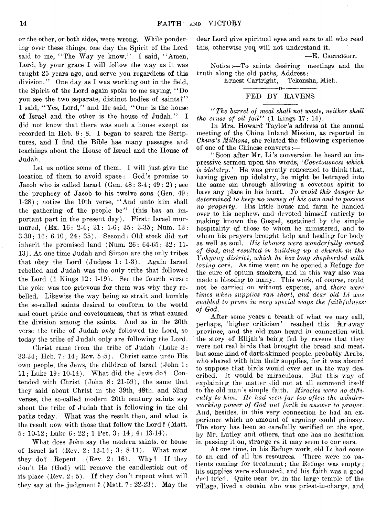or the other, or both sides, were wrong. While pondering over these things, one day the Spirit of the Lord said to me, "The Way ye know." I said, "Amen, Lord, by your grace I will follow the way as it was taught 25 years ago, and serve you regardless of this division." One day as I was working out in the field, the Spirit of the Lord again spoke to me saying,  $"Do"$ you see the two separate, distinct bodies of saints?" I said, " Yes, Lord," and He said, " One is the house of Israel and the other is the house of Judah." I did not know that there was such a house except as recorded in Heb. 8: 8. I began to search the Scriptures, and I find the Bible has many passages and teachings about the House of Israel and the House of Judah.

Let us notice some of them. I will just give the location of them to avoid space: God's promise to Jacob who is called Israel  $(Gen. 48: 3-4; 49: 2)$ ; see the prophecy of Jacob to his twelve sons (Gen. 49: 1-28) ; notice the 10th verse, " And unto him shall the gathering of the people be" (this has an important part in the present day). First: Israel murmured, (Ex. 16: 2-4; 31: 1-6; 35: 3-35; Num. 13: 3-30; 14: 6-10; 24: 35). Second: Old stock did not inherit the promised land (Num.  $26: 64-65$ ;  $32: 11-$ 13). At one time Judah and Simon are the only tribes that obey the Lord (Judges 1: 1-3). Again Israel rebelled and Judah was the only tribe that followed the Lord  $(1 \text{ Kings } 12: 1-19)$ . See the fourth verse: the yoke was too grievous for them was why they rebelled. Likewise the way being so strait and humble the so-called saints desired to conform to the world and court pride and covetousness, that is what caused the division among the saints. And as in the 20th verse the tribe of Judah *only* followed the Lord, so today the tribe of Judah only are following the Lord.

Christ came from the tribe of Judah (Luke 3: 33-34; Heb. 7: 14; Rev. 5:5). Christ came unto His own people, the Jews, the children of Israel (John 1: 11; Luke 19: 10-14). What did the Jews do? Contended with Christ (John 8: 21-59), the same that they said about Christ in the 39th, 48th, and 52nd verses, the so-called modern 20th century saints say about the tribe of Judah that is following in the old paths today. What was the result then, and what is the result now with those that follow the Lord? (Matt. 5: 10-12; Luke 6: 22 ; 1 Pet, 3: 14; 4: 13-14).

What dees John say the modern saints, or house of Israel is? (Rev. 2: 13-14; 3: 8-11). What must they do? Repent. (Rev. 2: 16). Why? If they don't He (God) will remove the candlestick out of its place  $(Rev. 2: 5)$ . If they don't repent what will they say at the judgment? (Matt.  $7:22-23$ ). May the

dear Lord give spiritual eyes and ears to all who read this, otherwise you will not understand it.

— E. Cartright.

Notice:— To saints desiring meetings and the truth along the old paths, Address:

> Ernest Cartright, Tekonsha, Mich.  $-n-$

#### FED BY RAVENS

*" The barrel of meal shall not waste, neither shall the cruse of oil fail*"  $(1 \text{ Kings } 17: 14)$ .

In Mrs. Howard Taylor's address at the annual meeting of the China Inland Mission, as reported in *China's Millions,* she related the following experience of one of the Chinese converts:—

"Soon after Mr. Li's conversion he heard an impressive sermon upon the words, ' *Covetousness which is idolatry.* He was greatly concerned to think that, having given up idolatry, he might be betrayed into the same sin through allowing a covetous spirit to have any place in his heart. *To avdid this danger he determined to keep no money of his own and to possess no property.* His little house and farm he handed over to his nephew, and devoted himself entirely to making known the Gospel, sustained by the simple hospitality of those to whom he ministered, and to whom his prayers brought help and healing for body as well as soul. *His labours ivere wonderfully owned of God, and resulted in building up a church in the Yohyang district, which he has long shepherded with loving care*. As time went on he opened a Refuge for the cure of opium smokers, and in this way also was made a blessing to many. This work, of course, could not be carried on without expense, and *there ivere times when supplies ran short, and dear old Li ivas enabled to prove in very special ways the faithfulness* \* *of God.*

After some years a breath of what we may call, perhaps, 'higher criticism' reached this far-away province, and the old man heard in connection with the story of Elijah's being fed by ravens that they were not real birds that brought the bread and meat, but some kind of dark-skinned people, probably Arabs, who shared with him their supplies, for it was absurd to suppose that birds would ever act in the way described. It would be miraculous. But this wav of explaining the matter did not at all commend itself to the old man's simple faith. *Miracles were no difficulty to him. lie had seen far too often the wonderworking power of God put forth in answer to prayer.* And, besides, in this very connection he had an experience which no amount of arguing could gainsay. The story has been so carefully Verified on the spot, by Mr. Lutley and others, that one has no hesitation in passing it on, strange as it may seem to our ears.

At one time, in his Refuge work, old Li had come to an end of all his resources. There were no patients coming for treatment; the Refuge was empty; his supplies were exhausted, and his faith was a good  $f^{\text{leaf}}$  tried. Quite near by, in the large temple of the village, lived a cousin who was priest-in-charge, and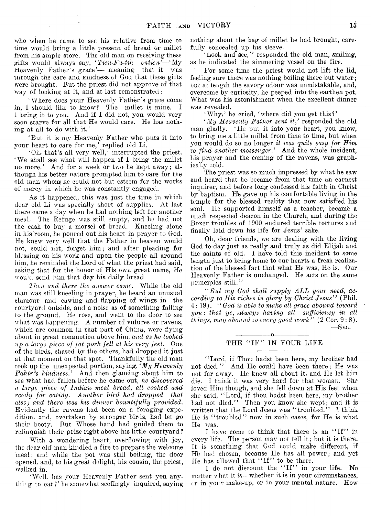who when he came to see his relative from time to time would bring a little present of bread or millet from his ample store. The old man on receiving these gifts would always say, 'Tien-Fu-tih entien'— My Heavenly Father's grace '— meaning that it was through die care ana Kindness of Goa that these gifts were brought. But the priest did not approve of that way of looking at it, and at last remonstrated:

' Where does your Heavenly Father's grace come in, I should like to know ? The millet is mine. I i bring it to you. And if I did not, you would very soon starve for all that He would care. He has nothing at all to do with it.'

' But it is my Heavenly Father who puts it into your heart to care for me,' replied old Li.

' Oh, that's all very well,' interrupted the priest. ' We shall see what will happen if 1 bring the millet no more.' And for a week or two he kept away; although his better nature prompted him to care for the old man whom{ he could not but esteem for the works of mercy in which he was constantly engaged.

As it happened, this was just the time in which dear old Li was specially short of supplies. At last there came a day when he had nothing left for another meal. The Refuge was still empty, and he had not the cash to buy a morsel of bread. Kneeling alone in his room, he poured out his heart in prayer to God. He knew very well that the Father in heaven would not, could not, forget him; and after pleading for blessing on his work and upon the people all around him, he reminded the Lord of what the priest had said, asking that for the honor of His own great name, He would send him that day his daily bread.

*Then and there the answer came.* While the old man was still kneeling in prayer, he heard an unusual clamour and cawing and flapping of wings in the courtyard outside, and a noise as of something falling to the ground. He rose, and went to the door to see what was happening. A number of vulures or ravens, which are common in that part of China, were flying about in great commotion above him, *and as he looked ■up a large piece of fat pork fell at his very feet*. One of the birds, chased by the others, had dropped it just at that moment on that spot. Thankfully the old man took up the unexpected portion, saying, *' My Heavenly Fakir's kindness.'* And then glancing about him to see what had fallen before he came out, *he discovered a large piece of Indian\* meed bread, all cooked and ready for eating. Another bird had dropped that also; and there was his dinner bountifully provided.* Evidently the ravens had been on a foraging expedition, and, overtaken by stronger birds, had let go their booty. But Whose hand had guided them to relinquish their prize right above his little courtyard?

With a wondering heart, overflowing with joy, the dear old man kindled a fire to prepare the welcome meal; and while the pot was still boiling, the door opened, and, to his great delight, his cousin, the priest, walked in.

' Well, has your Heavenly Father sent you anything to eat?' he somewhat scoffingly inquired, saying nothing about the bag of millet he had brought, carefully concealed up his sleeve.

Look and see," responded the old man, smiling, as he indicated the simmering vessel on the fire.

For some time the priest would not lift the lid, feeling sure there was nothing boiling there but water; but at length the savory odour was unmistakable, and, overcome by curiosity, he peeped into the earthen pot. What was his astonishment when the excellent dinner was revealed.

' Why,' he cried, 'where did you get this?'

*' My Heavenly Father sent it,'* responded the old man gladly. ' He put it into your heart, you know, to bring me a little millet from time to time, but when you would do so no longer *it was quite easy for Him to find another messenger.'* And the whole incident, his prayer and the coming of the ravens, was graphically told.

The priest was so much impressed by what he saw and heard that he became from that time an earnest inquirer, and before long confessed his faith in Christ by baptism. He gave up his comfortable living in the temple for the blessed reality that now satisfied his soul. He supported himself as a teacher, became a much respected deacon in the Church, and during the Boxer troubles of 1900 endured terrible tortures and finally laid down his life for Jesus' sake.

Oh, dear friends, we are dealing with the living God to-day just as really and truly as did Elijah and the saints of old. I have told this incident to some length just to bring home to our hearts a fresh realization of the blessed fact that what He was, He is. Our Heavenly Father is unchanged. He acts on the same principles still."

"But my God shall supply ALL your need, ac*cording to His riches in glory by Christ Jesus"* (Phil. 4: 19). *" God is able to make all grace abound toward you : that ye, ,always having all sufficiency in all things, may abound to every good work*" (2 Cor. 9:8).  $-$ Sel.

#### ---------------- o----------------- THE "IF" IN YOUR LIFE

' ' Lord, if Thou hadst been here, my brother had not died." And He could have been there; He was not far away. He knew all about it, and He let him die. I think it was very hard for that woman. She loved Him though, and she fell down at His feet when she said, " Lord, if thou hadst been here, my brother had not died." Then you know she wept; and it is written that the Lord Jesus was "troubled." I think He is "troubled" now in such cases, for He is what He was.

I have come to think that there is an "If" in every life. The person may not tell it ; but it is there. It is something that God could make different, if Hb had chosen, because He has all power; and yet He has allowed that "If" to be there.

I do not discount the "If" in your life. No matter what it is—whether it is in your circumstances,  $\gamma$  in your make-up, or in your mental nature. How